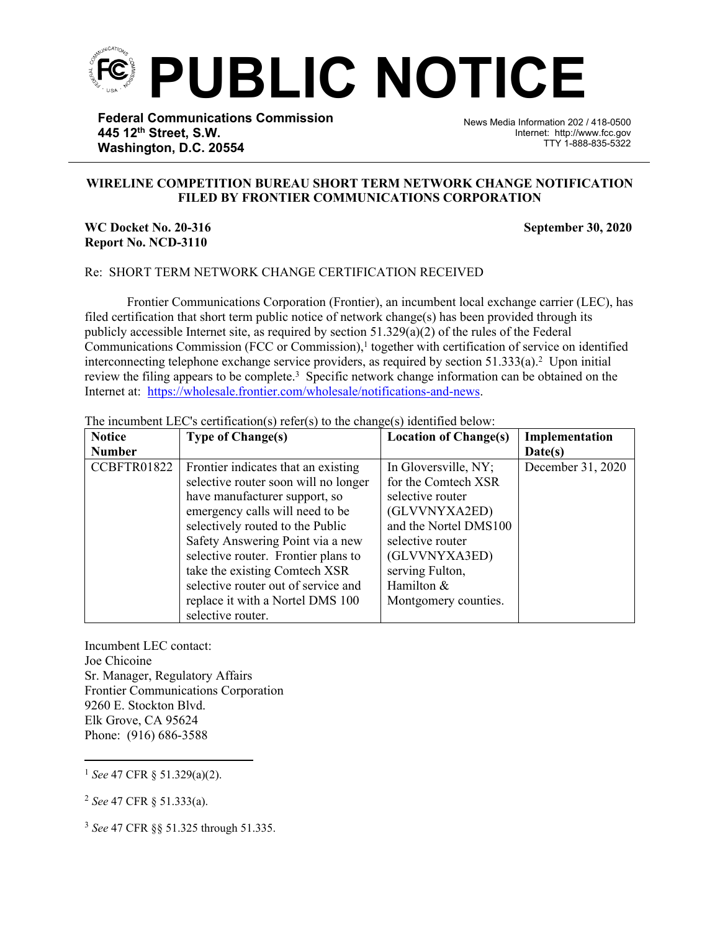

**Federal Communications Commission 445 12th Street, S.W. Washington, D.C. 20554**

News Media Information 202 / 418-0500 Internet: http://www.fcc.gov TTY 1-888-835-5322

## **WIRELINE COMPETITION BUREAU SHORT TERM NETWORK CHANGE NOTIFICATION FILED BY FRONTIER COMMUNICATIONS CORPORATION**

֡֡֡֡

## **WC Docket No. 20-316** September 30, 2020 **Report No. NCD-3110**

## Re: SHORT TERM NETWORK CHANGE CERTIFICATION RECEIVED

Frontier Communications Corporation (Frontier), an incumbent local exchange carrier (LEC), has filed certification that short term public notice of network change(s) has been provided through its publicly accessible Internet site, as required by section  $51.329(a)(2)$  of the rules of the Federal Communications Commission (FCC or Commission),<sup>1</sup> together with certification of service on identified interconnecting telephone exchange service providers, as required by section  $51.333(a)$ .<sup>2</sup> Upon initial review the filing appears to be complete.<sup>3</sup> Specific network change information can be obtained on the Internet at: [https:](https://www.verizon.com/about/terms-conditions/network-disclosures)[//wholesale.frontier.com/wholesale/notifications-and-news](http://wholesale.frontier.com/wholesale/notifications-and-news).

The incumbent LEC's certification(s) refer(s) to the change(s) identified below:

| <b>Notice</b> | <b>Type of Change(s)</b>             | <b>Location of Change(s)</b> | Implementation    |
|---------------|--------------------------------------|------------------------------|-------------------|
| <b>Number</b> |                                      |                              | Date(s)           |
| CCBFTR01822   | Frontier indicates that an existing  | In Gloversville, NY;         | December 31, 2020 |
|               | selective router soon will no longer | for the Comtech XSR          |                   |
|               | have manufacturer support, so        | selective router             |                   |
|               | emergency calls will need to be      | (GLVVNYXA2ED)                |                   |
|               | selectively routed to the Public     | and the Nortel DMS100        |                   |
|               | Safety Answering Point via a new     | selective router             |                   |
|               | selective router. Frontier plans to  | (GLVVNYXA3ED)                |                   |
|               | take the existing Comtech XSR        | serving Fulton,              |                   |
|               | selective router out of service and  | Hamilton &                   |                   |
|               | replace it with a Nortel DMS 100     | Montgomery counties.         |                   |
|               | selective router.                    |                              |                   |

Incumbent LEC contact: Joe Chicoine Sr. Manager, Regulatory Affairs Frontier Communications Corporation 9260 E. Stockton Blvd. Elk Grove, CA 95624 Phone: (916) 686-3588

<sup>1</sup> *See* 47 CFR § 51.329(a)(2).

<sup>2</sup> *See* 47 CFR § 51.333(a).

<sup>3</sup> *See* 47 CFR §§ 51.325 through 51.335.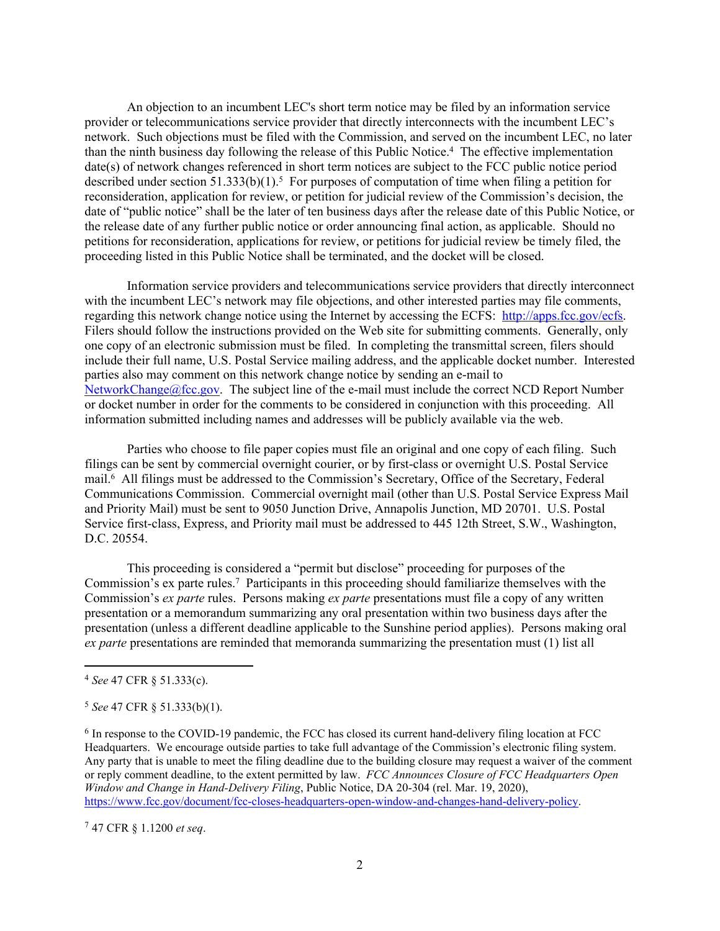An objection to an incumbent LEC's short term notice may be filed by an information service provider or telecommunications service provider that directly interconnects with the incumbent LEC's network. Such objections must be filed with the Commission, and served on the incumbent LEC, no later than the ninth business day following the release of this Public Notice.<sup>4</sup> The effective implementation date(s) of network changes referenced in short term notices are subject to the FCC public notice period described under section  $51.333(b)(1)$ .<sup>5</sup> For purposes of computation of time when filing a petition for reconsideration, application for review, or petition for judicial review of the Commission's decision, the date of "public notice" shall be the later of ten business days after the release date of this Public Notice, or the release date of any further public notice or order announcing final action, as applicable. Should no petitions for reconsideration, applications for review, or petitions for judicial review be timely filed, the proceeding listed in this Public Notice shall be terminated, and the docket will be closed.

Information service providers and telecommunications service providers that directly interconnect with the incumbent LEC's network may file objections, and other interested parties may file comments, regarding this network change notice using the Internet by accessing the ECFS: [http://apps.fcc.gov/ecfs.](http://apps.fcc.gov/ecfs) Filers should follow the instructions provided on the Web site for submitting comments. Generally, only one copy of an electronic submission must be filed. In completing the transmittal screen, filers should include their full name, U.S. Postal Service mailing address, and the applicable docket number. Interested parties also may comment on this network change notice by sending an e-mail to [NetworkChange@fcc.gov.](mailto:NetworkChange@fcc.gov) The subject line of the e-mail must include the correct NCD Report Number or docket number in order for the comments to be considered in conjunction with this proceeding. All information submitted including names and addresses will be publicly available via the web.

Parties who choose to file paper copies must file an original and one copy of each filing. Such filings can be sent by commercial overnight courier, or by first-class or overnight U.S. Postal Service mail.<sup>6</sup> All filings must be addressed to the Commission's Secretary, Office of the Secretary, Federal Communications Commission. Commercial overnight mail (other than U.S. Postal Service Express Mail and Priority Mail) must be sent to 9050 Junction Drive, Annapolis Junction, MD 20701. U.S. Postal Service first-class, Express, and Priority mail must be addressed to 445 12th Street, S.W., Washington, D.C. 20554.

This proceeding is considered a "permit but disclose" proceeding for purposes of the Commission's ex parte rules.<sup>7</sup> Participants in this proceeding should familiarize themselves with the Commission's *ex parte* rules. Persons making *ex parte* presentations must file a copy of any written presentation or a memorandum summarizing any oral presentation within two business days after the presentation (unless a different deadline applicable to the Sunshine period applies). Persons making oral *ex parte* presentations are reminded that memoranda summarizing the presentation must (1) list all

<sup>7</sup> 47 CFR § 1.1200 *et seq*.

<sup>4</sup> *See* 47 CFR § 51.333(c).

<sup>5</sup> *See* 47 CFR § 51.333(b)(1).

<sup>&</sup>lt;sup>6</sup> In response to the COVID-19 pandemic, the FCC has closed its current hand-delivery filing location at FCC Headquarters. We encourage outside parties to take full advantage of the Commission's electronic filing system. Any party that is unable to meet the filing deadline due to the building closure may request a waiver of the comment or reply comment deadline, to the extent permitted by law. *FCC Announces Closure of FCC Headquarters Open Window and Change in Hand-Delivery Filing*, Public Notice, DA 20-304 (rel. Mar. 19, 2020), [https://www.fcc.gov/document/fcc-closes-headquarters-open-window-and-changes-hand-delivery-policy.](https://www.fcc.gov/document/fcc-closes-headquarters-open-window-and-changes-hand-delivery-policy)